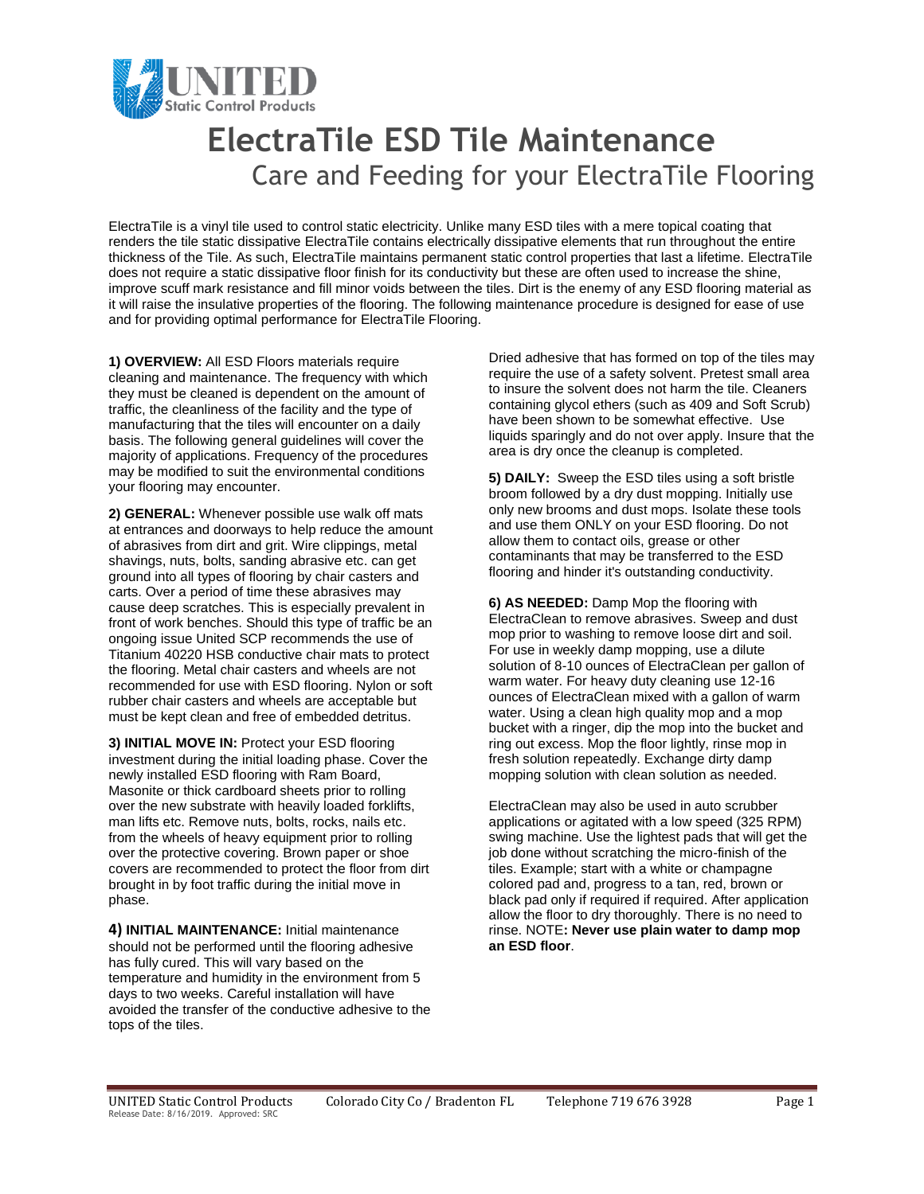

## **ElectraTile ESD Tile Maintenance** Care and Feeding for your ElectraTile Flooring

ElectraTile is a vinyl tile used to control static electricity. Unlike many ESD tiles with a mere topical coating that renders the tile static dissipative ElectraTile contains electrically dissipative elements that run throughout the entire thickness of the Tile. As such, ElectraTile maintains permanent static control properties that last a lifetime. ElectraTile does not require a static dissipative floor finish for its conductivity but these are often used to increase the shine, improve scuff mark resistance and fill minor voids between the tiles. Dirt is the enemy of any ESD flooring material as it will raise the insulative properties of the flooring. The following maintenance procedure is designed for ease of use and for providing optimal performance for ElectraTile Flooring.

**1) OVERVIEW:** All ESD Floors materials require cleaning and maintenance. The frequency with which they must be cleaned is dependent on the amount of traffic, the cleanliness of the facility and the type of manufacturing that the tiles will encounter on a daily basis. The following general guidelines will cover the majority of applications. Frequency of the procedures may be modified to suit the environmental conditions your flooring may encounter.

**2) GENERAL:** Whenever possible use walk off mats at entrances and doorways to help reduce the amount of abrasives from dirt and grit. Wire clippings, metal shavings, nuts, bolts, sanding abrasive etc. can get ground into all types of flooring by chair casters and carts. Over a period of time these abrasives may cause deep scratches. This is especially prevalent in front of work benches. Should this type of traffic be an ongoing issue United SCP recommends the use of Titanium 40220 HSB conductive chair mats to protect the flooring. Metal chair casters and wheels are not recommended for use with ESD flooring. Nylon or soft rubber chair casters and wheels are acceptable but must be kept clean and free of embedded detritus.

**3) INITIAL MOVE IN:** Protect your ESD flooring investment during the initial loading phase. Cover the newly installed ESD flooring with Ram Board, Masonite or thick cardboard sheets prior to rolling over the new substrate with heavily loaded forklifts, man lifts etc. Remove nuts, bolts, rocks, nails etc. from the wheels of heavy equipment prior to rolling over the protective covering. Brown paper or shoe covers are recommended to protect the floor from dirt brought in by foot traffic during the initial move in phase.

**4) INITIAL MAINTENANCE:** Initial maintenance should not be performed until the flooring adhesive has fully cured. This will vary based on the temperature and humidity in the environment from 5 days to two weeks. Careful installation will have avoided the transfer of the conductive adhesive to the tops of the tiles.

Dried adhesive that has formed on top of the tiles may require the use of a safety solvent. Pretest small area to insure the solvent does not harm the tile. Cleaners containing glycol ethers (such as 409 and Soft Scrub) have been shown to be somewhat effective. Use liquids sparingly and do not over apply. Insure that the area is dry once the cleanup is completed.

**5) DAILY:** Sweep the ESD tiles using a soft bristle broom followed by a dry dust mopping. Initially use only new brooms and dust mops. Isolate these tools and use them ONLY on your ESD flooring. Do not allow them to contact oils, grease or other contaminants that may be transferred to the ESD flooring and hinder it's outstanding conductivity.

**6) AS NEEDED:** Damp Mop the flooring with ElectraClean to remove abrasives. Sweep and dust mop prior to washing to remove loose dirt and soil. For use in weekly damp mopping, use a dilute solution of 8-10 ounces of ElectraClean per gallon of warm water. For heavy duty cleaning use 12-16 ounces of ElectraClean mixed with a gallon of warm water. Using a clean high quality mop and a mop bucket with a ringer, dip the mop into the bucket and ring out excess. Mop the floor lightly, rinse mop in fresh solution repeatedly. Exchange dirty damp mopping solution with clean solution as needed.

ElectraClean may also be used in auto scrubber applications or agitated with a low speed (325 RPM) swing machine. Use the lightest pads that will get the job done without scratching the micro-finish of the tiles. Example; start with a white or champagne colored pad and, progress to a tan, red, brown or black pad only if required if required. After application allow the floor to dry thoroughly. There is no need to rinse. NOTE**: Never use plain water to damp mop an ESD floor**.